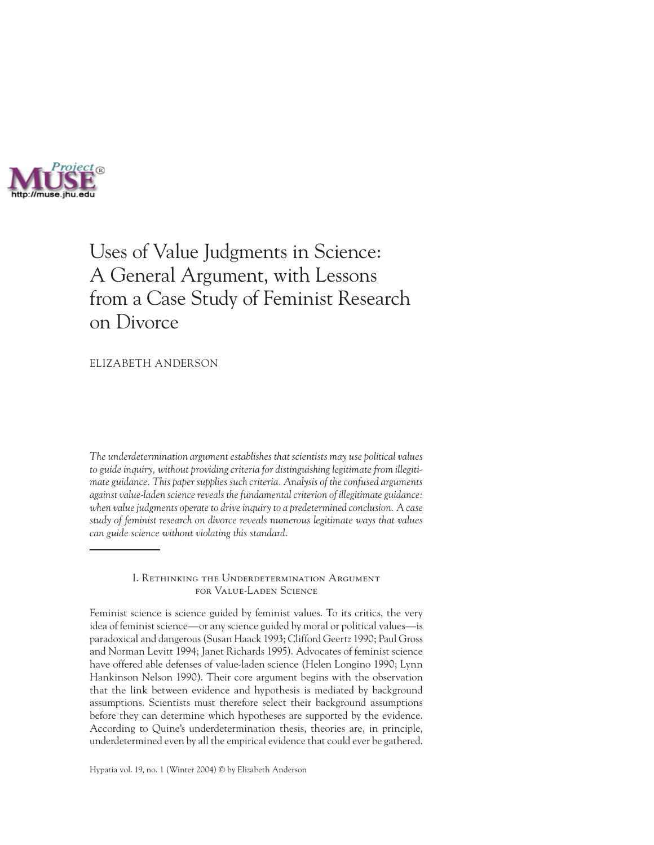

# Uses of Value Judgments in Science: A General Argument, with Lessons from a Case Study of Feminist Research on Divorce

ELIZABETH ANDERSON

*The underdetermination argument establishes that scientists may use political values to guide inquiry, without providing criteria for distinguishing legitimate from illegitimate guidance. This paper supplies such criteria. Analysis of the confused arguments against value-laden science reveals the fundamental criterion of illegitimate guidance: when value judgments operate to drive inquiry to a predetermined conclusion. A case study of feminist research on divorce reveals numerous legitimate ways that values can guide science without violating this standard.*

> I. Rethinking the Underdetermination Argument for Value-Laden Science

Feminist science is science guided by feminist values. To its critics, the very idea of feminist science—or any science guided by moral or political values—is paradoxical and dangerous (Susan Haack 1993; Clifford Geertz 1990; Paul Gross and Norman Levitt 1994; Janet Richards 1995). Advocates of feminist science have offered able defenses of value-laden science (Helen Longino 1990; Lynn Hankinson Nelson 1990). Their core argument begins with the observation that the link between evidence and hypothesis is mediated by background assumptions. Scientists must therefore select their background assumptions before they can determine which hypotheses are supported by the evidence. According to Quine's underdetermination thesis, theories are, in principle, underdetermined even by all the empirical evidence that could ever be gathered.

Hypatia vol. 19, no. 1 (Winter 2004) © by Elizabeth Anderson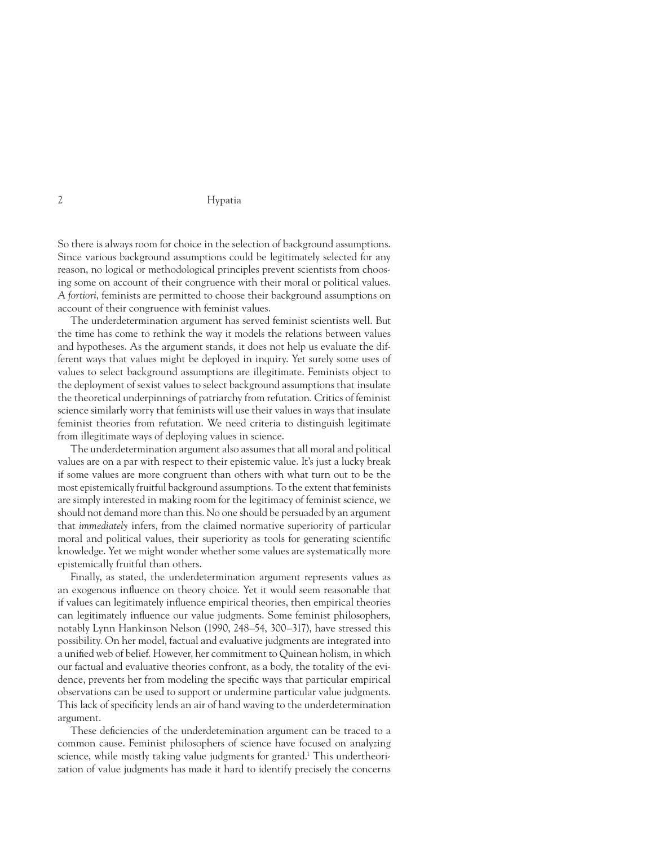So there is always room for choice in the selection of background assumptions. Since various background assumptions could be legitimately selected for any reason, no logical or methodological principles prevent scientists from choosing some on account of their congruence with their moral or political values. *A fortiori*, feminists are permitted to choose their background assumptions on account of their congruence with feminist values.

The underdetermination argument has served feminist scientists well. But the time has come to rethink the way it models the relations between values and hypotheses. As the argument stands, it does not help us evaluate the different ways that values might be deployed in inquiry. Yet surely some uses of values to select background assumptions are illegitimate. Feminists object to the deployment of sexist values to select background assumptions that insulate the theoretical underpinnings of patriarchy from refutation. Critics of feminist science similarly worry that feminists will use their values in ways that insulate feminist theories from refutation. We need criteria to distinguish legitimate from illegitimate ways of deploying values in science.

The underdetermination argument also assumes that all moral and political values are on a par with respect to their epistemic value. It's just a lucky break if some values are more congruent than others with what turn out to be the most epistemically fruitful background assumptions. To the extent that feminists are simply interested in making room for the legitimacy of feminist science, we should not demand more than this. No one should be persuaded by an argument that *immediately* infers, from the claimed normative superiority of particular moral and political values, their superiority as tools for generating scientific knowledge. Yet we might wonder whether some values are systematically more epistemically fruitful than others.

Finally, as stated, the underdetermination argument represents values as an exogenous influence on theory choice. Yet it would seem reasonable that if values can legitimately influence empirical theories, then empirical theories can legitimately influence our value judgments. Some feminist philosophers, notably Lynn Hankinson Nelson (1990, 248–54, 300–317), have stressed this possibility. On her model, factual and evaluative judgments are integrated into a unified web of belief. However, her commitment to Quinean holism, in which our factual and evaluative theories confront, as a body, the totality of the evidence, prevents her from modeling the specific ways that particular empirical observations can be used to support or undermine particular value judgments. This lack of specificity lends an air of hand waving to the underdetermination argument.

These deficiencies of the underdetemination argument can be traced to a common cause. Feminist philosophers of science have focused on analyzing science, while mostly taking value judgments for granted.<sup>1</sup> This undertheorization of value judgments has made it hard to identify precisely the concerns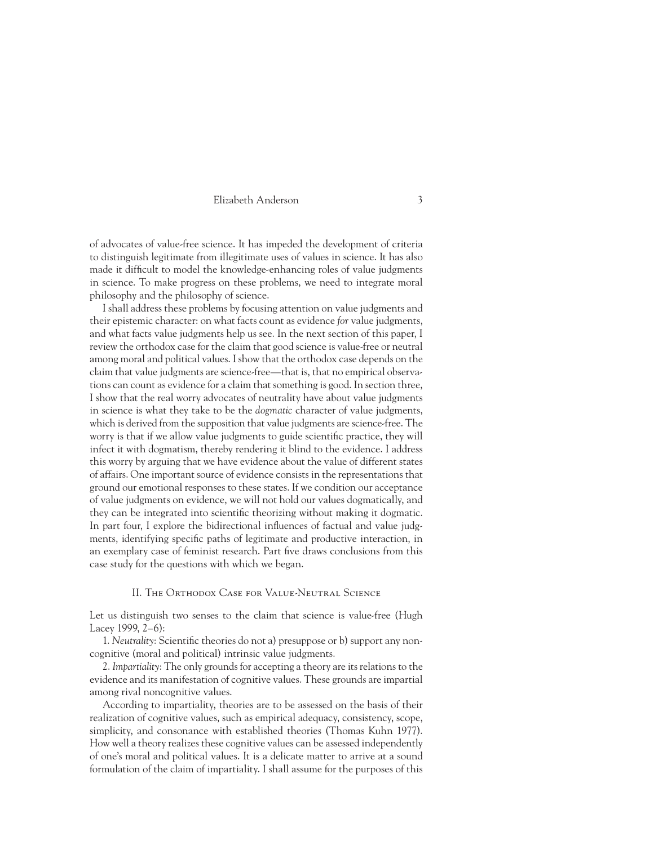of advocates of value-free science. It has impeded the development of criteria to distinguish legitimate from illegitimate uses of values in science. It has also made it difficult to model the knowledge-enhancing roles of value judgments in science. To make progress on these problems, we need to integrate moral philosophy and the philosophy of science.

I shall address these problems by focusing attention on value judgments and their epistemic character: on what facts count as evidence *for* value judgments, and what facts value judgments help us see. In the next section of this paper, I review the orthodox case for the claim that good science is value-free or neutral among moral and political values. I show that the orthodox case depends on the claim that value judgments are science-free—that is, that no empirical observations can count as evidence for a claim that something is good. In section three, I show that the real worry advocates of neutrality have about value judgments in science is what they take to be the *dogmatic* character of value judgments, which is derived from the supposition that value judgments are science-free. The worry is that if we allow value judgments to guide scientific practice, they will infect it with dogmatism, thereby rendering it blind to the evidence. I address this worry by arguing that we have evidence about the value of different states of affairs. One important source of evidence consists in the representations that ground our emotional responses to these states. If we condition our acceptance of value judgments on evidence, we will not hold our values dogmatically, and they can be integrated into scientific theorizing without making it dogmatic. In part four, I explore the bidirectional influences of factual and value judgments, identifying specific paths of legitimate and productive interaction, in an exemplary case of feminist research. Part five draws conclusions from this case study for the questions with which we began.

# II. The Orthodox Case for Value-Neutral Science

Let us distinguish two senses to the claim that science is value-free (Hugh Lacey 1999, 2–6):

1. *Neutrality:* Scientific theories do not a) presuppose or b) support any noncognitive (moral and political) intrinsic value judgments.

2. *Impartiality*: The only grounds for accepting a theory are its relations to the evidence and its manifestation of cognitive values. These grounds are impartial among rival noncognitive values.

According to impartiality, theories are to be assessed on the basis of their realization of cognitive values, such as empirical adequacy, consistency, scope, simplicity, and consonance with established theories (Thomas Kuhn 1977). How well a theory realizes these cognitive values can be assessed independently of one's moral and political values. It is a delicate matter to arrive at a sound formulation of the claim of impartiality. I shall assume for the purposes of this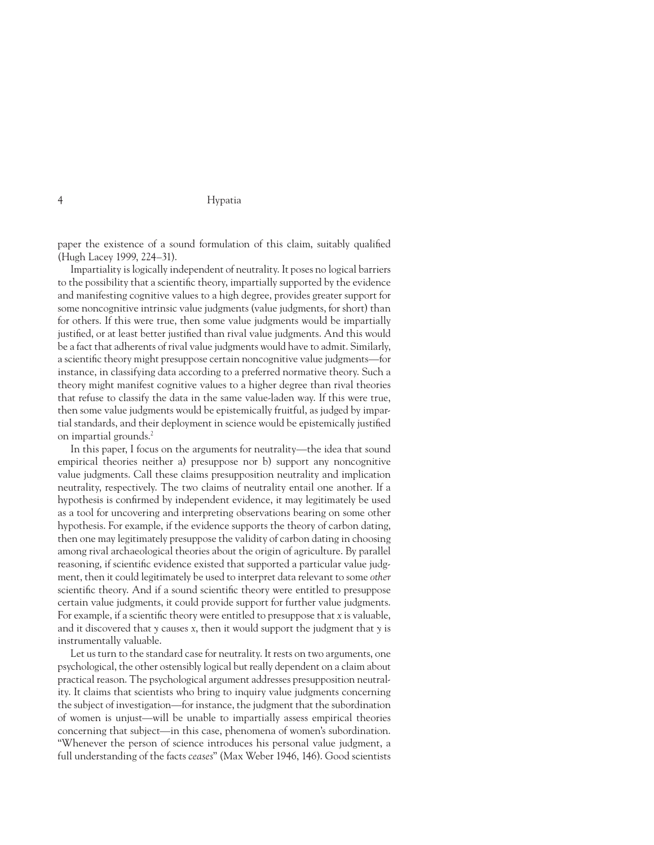paper the existence of a sound formulation of this claim, suitably qualified (Hugh Lacey 1999, 224–31).

Impartiality is logically independent of neutrality. It poses no logical barriers to the possibility that a scientific theory, impartially supported by the evidence and manifesting cognitive values to a high degree, provides greater support for some noncognitive intrinsic value judgments (value judgments, for short) than for others. If this were true, then some value judgments would be impartially justified, or at least better justified than rival value judgments. And this would be a fact that adherents of rival value judgments would have to admit. Similarly, a scientific theory might presuppose certain noncognitive value judgments—for instance, in classifying data according to a preferred normative theory. Such a theory might manifest cognitive values to a higher degree than rival theories that refuse to classify the data in the same value-laden way. If this were true, then some value judgments would be epistemically fruitful, as judged by impartial standards, and their deployment in science would be epistemically justified on impartial grounds.2

In this paper, I focus on the arguments for neutrality—the idea that sound empirical theories neither a) presuppose nor b) support any noncognitive value judgments. Call these claims presupposition neutrality and implication neutrality, respectively. The two claims of neutrality entail one another. If a hypothesis is confirmed by independent evidence, it may legitimately be used as a tool for uncovering and interpreting observations bearing on some other hypothesis. For example, if the evidence supports the theory of carbon dating, then one may legitimately presuppose the validity of carbon dating in choosing among rival archaeological theories about the origin of agriculture. By parallel reasoning, if scientific evidence existed that supported a particular value judgment, then it could legitimately be used to interpret data relevant to some *other* scientific theory. And if a sound scientific theory were entitled to presuppose certain value judgments, it could provide support for further value judgments. For example, if a scientific theory were entitled to presuppose that *x* is valuable, and it discovered that *y* causes *x*, then it would support the judgment that *y* is instrumentally valuable.

Let us turn to the standard case for neutrality. It rests on two arguments, one psychological, the other ostensibly logical but really dependent on a claim about practical reason. The psychological argument addresses presupposition neutrality. It claims that scientists who bring to inquiry value judgments concerning the subject of investigation—for instance, the judgment that the subordination of women is unjust—will be unable to impartially assess empirical theories concerning that subject—in this case, phenomena of women's subordination. "Whenever the person of science introduces his personal value judgment, a full understanding of the facts *ceases*" (Max Weber 1946, 146). Good scientists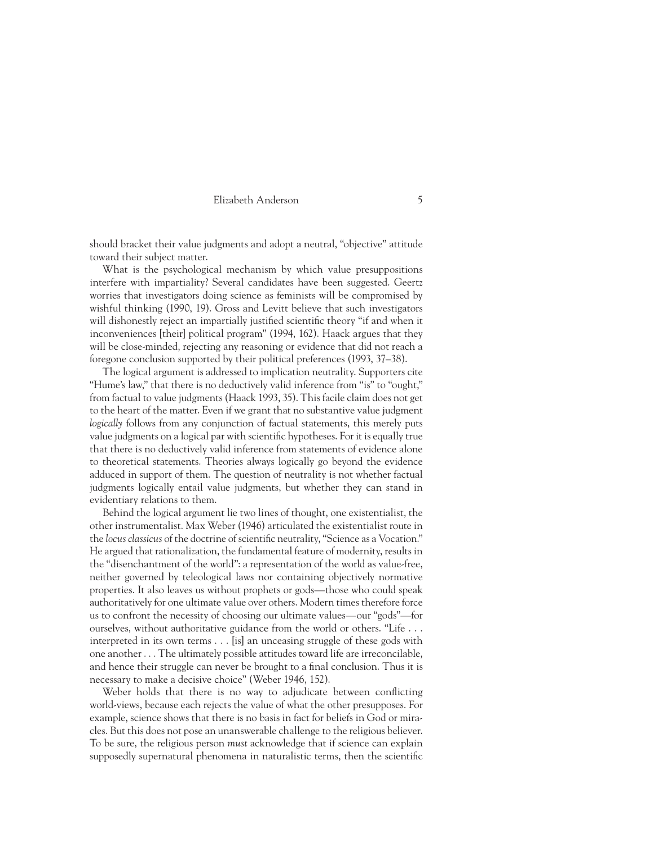should bracket their value judgments and adopt a neutral, "objective" attitude toward their subject matter.

What is the psychological mechanism by which value presuppositions interfere with impartiality? Several candidates have been suggested. Geertz worries that investigators doing science as feminists will be compromised by wishful thinking (1990, 19). Gross and Levitt believe that such investigators will dishonestly reject an impartially justified scientific theory "if and when it inconveniences [their] political program" (1994, 162). Haack argues that they will be close-minded, rejecting any reasoning or evidence that did not reach a foregone conclusion supported by their political preferences (1993, 37–38).

The logical argument is addressed to implication neutrality. Supporters cite "Hume's law," that there is no deductively valid inference from "is" to "ought," from factual to value judgments (Haack 1993, 35). This facile claim does not get to the heart of the matter. Even if we grant that no substantive value judgment *logically* follows from any conjunction of factual statements, this merely puts value judgments on a logical par with scientific hypotheses. For it is equally true that there is no deductively valid inference from statements of evidence alone to theoretical statements. Theories always logically go beyond the evidence adduced in support of them. The question of neutrality is not whether factual judgments logically entail value judgments, but whether they can stand in evidentiary relations to them.

Behind the logical argument lie two lines of thought, one existentialist, the other instrumentalist. Max Weber (1946) articulated the existentialist route in the *locus classicus* of the doctrine of scientific neutrality, "Science as a Vocation." He argued that rationalization, the fundamental feature of modernity, results in the "disenchantment of the world": a representation of the world as value-free, neither governed by teleological laws nor containing objectively normative properties. It also leaves us without prophets or gods—those who could speak authoritatively for one ultimate value over others. Modern times therefore force us to confront the necessity of choosing our ultimate values—our "gods"—for ourselves, without authoritative guidance from the world or others. "Life . . . interpreted in its own terms . . . [is] an unceasing struggle of these gods with one another . . . The ultimately possible attitudes toward life are irreconcilable, and hence their struggle can never be brought to a final conclusion. Thus it is necessary to make a decisive choice" (Weber 1946, 152).

Weber holds that there is no way to adjudicate between conflicting world-views, because each rejects the value of what the other presupposes. For example, science shows that there is no basis in fact for beliefs in God or miracles. But this does not pose an unanswerable challenge to the religious believer. To be sure, the religious person *must* acknowledge that if science can explain supposedly supernatural phenomena in naturalistic terms, then the scientific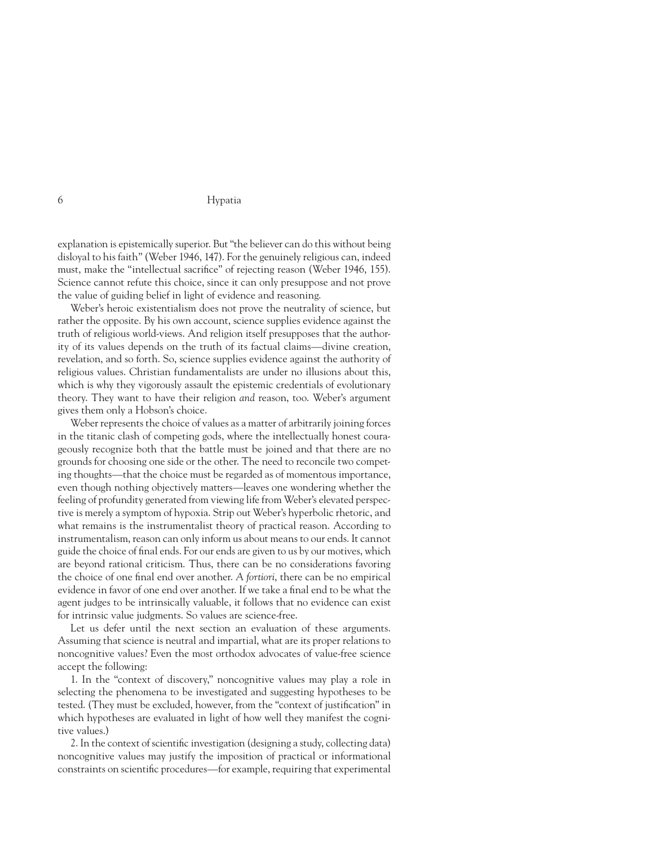explanation is epistemically superior. But "the believer can do this without being disloyal to his faith" (Weber 1946, 147). For the genuinely religious can, indeed must, make the "intellectual sacrifice" of rejecting reason (Weber 1946, 155). Science cannot refute this choice, since it can only presuppose and not prove the value of guiding belief in light of evidence and reasoning.

Weber's heroic existentialism does not prove the neutrality of science, but rather the opposite. By his own account, science supplies evidence against the truth of religious world-views. And religion itself presupposes that the authority of its values depends on the truth of its factual claims—divine creation, revelation, and so forth. So, science supplies evidence against the authority of religious values. Christian fundamentalists are under no illusions about this, which is why they vigorously assault the epistemic credentials of evolutionary theory. They want to have their religion *and* reason, too. Weber's argument gives them only a Hobson's choice.

Weber represents the choice of values as a matter of arbitrarily joining forces in the titanic clash of competing gods, where the intellectually honest courageously recognize both that the battle must be joined and that there are no grounds for choosing one side or the other. The need to reconcile two competing thoughts—that the choice must be regarded as of momentous importance, even though nothing objectively matters—leaves one wondering whether the feeling of profundity generated from viewing life from Weber's elevated perspective is merely a symptom of hypoxia. Strip out Weber's hyperbolic rhetoric, and what remains is the instrumentalist theory of practical reason. According to instrumentalism, reason can only inform us about means to our ends. It cannot guide the choice of final ends. For our ends are given to us by our motives, which are beyond rational criticism. Thus, there can be no considerations favoring the choice of one final end over another. A fortiori, there can be no empirical evidence in favor of one end over another. If we take a final end to be what the agent judges to be intrinsically valuable, it follows that no evidence can exist for intrinsic value judgments. So values are science-free.

Let us defer until the next section an evaluation of these arguments. Assuming that science is neutral and impartial, what are its proper relations to noncognitive values? Even the most orthodox advocates of value-free science accept the following:

1. In the "context of discovery," noncognitive values may play a role in selecting the phenomena to be investigated and suggesting hypotheses to be tested. (They must be excluded, however, from the "context of justification" in which hypotheses are evaluated in light of how well they manifest the cognitive values.)

2. In the context of scientific investigation (designing a study, collecting data) noncognitive values may justify the imposition of practical or informational constraints on scientific procedures—for example, requiring that experimental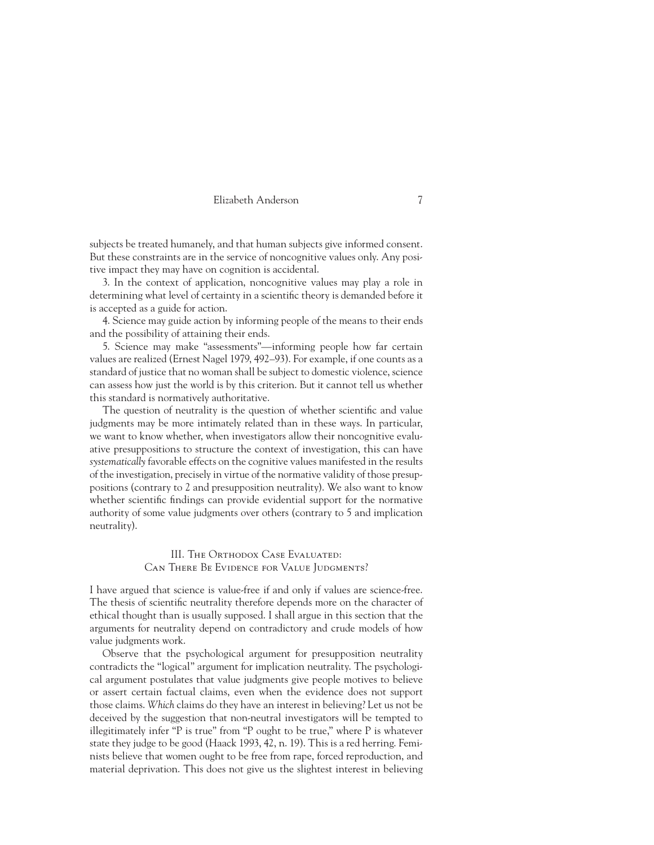subjects be treated humanely, and that human subjects give informed consent. But these constraints are in the service of noncognitive values only. Any positive impact they may have on cognition is accidental.

3. In the context of application, noncognitive values may play a role in determining what level of certainty in a scientific theory is demanded before it is accepted as a guide for action.

4. Science may guide action by informing people of the means to their ends and the possibility of attaining their ends.

5. Science may make "assessments"—informing people how far certain values are realized (Ernest Nagel 1979, 492–93). For example, if one counts as a standard of justice that no woman shall be subject to domestic violence, science can assess how just the world is by this criterion. But it cannot tell us whether this standard is normatively authoritative.

The question of neutrality is the question of whether scientific and value judgments may be more intimately related than in these ways. In particular, we want to know whether, when investigators allow their noncognitive evaluative presuppositions to structure the context of investigation, this can have *systematically* favorable effects on the cognitive values manifested in the results of the investigation, precisely in virtue of the normative validity of those presuppositions (contrary to 2 and presupposition neutrality). We also want to know whether scientific findings can provide evidential support for the normative authority of some value judgments over others (contrary to 5 and implication neutrality).

> III. The Orthodox Case Evaluated: CAN THERE BE EVIDENCE FOR VALUE JUDGMENTS?

I have argued that science is value-free if and only if values are science-free. The thesis of scientific neutrality therefore depends more on the character of ethical thought than is usually supposed. I shall argue in this section that the arguments for neutrality depend on contradictory and crude models of how value judgments work.

Observe that the psychological argument for presupposition neutrality contradicts the "logical" argument for implication neutrality. The psychological argument postulates that value judgments give people motives to believe or assert certain factual claims, even when the evidence does not support those claims. *Which* claims do they have an interest in believing? Let us not be deceived by the suggestion that non-neutral investigators will be tempted to illegitimately infer "P is true" from "P ought to be true," where P is whatever state they judge to be good (Haack 1993, 42, n. 19). This is a red herring. Feminists believe that women ought to be free from rape, forced reproduction, and material deprivation. This does not give us the slightest interest in believing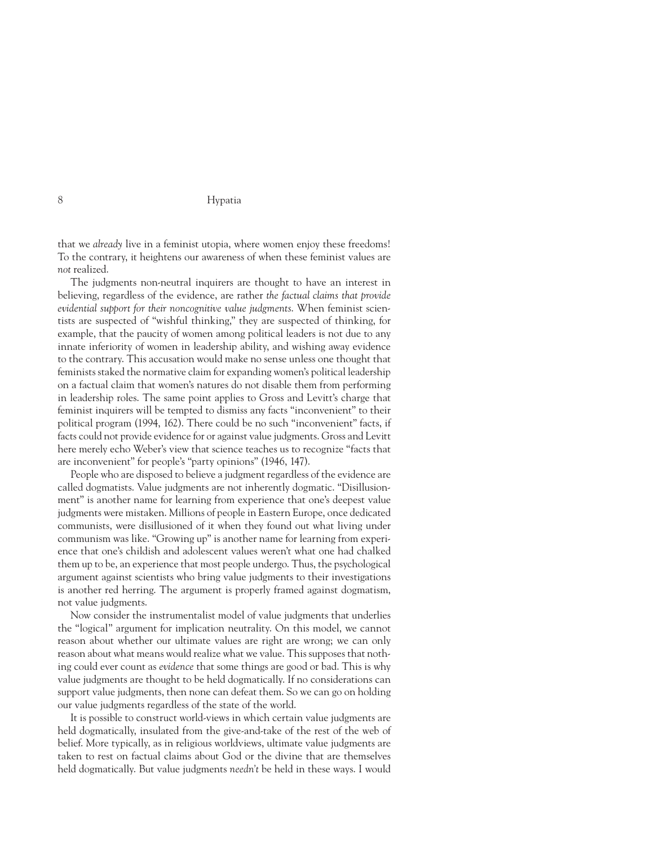that we *already* live in a feminist utopia, where women enjoy these freedoms! To the contrary, it heightens our awareness of when these feminist values are *not* realized.

The judgments non-neutral inquirers are thought to have an interest in believing, regardless of the evidence, are rather *the factual claims that provide evidential support for their noncognitive value judgments*. When feminist scientists are suspected of "wishful thinking," they are suspected of thinking, for example, that the paucity of women among political leaders is not due to any innate inferiority of women in leadership ability, and wishing away evidence to the contrary. This accusation would make no sense unless one thought that feminists staked the normative claim for expanding women's political leadership on a factual claim that women's natures do not disable them from performing in leadership roles. The same point applies to Gross and Levitt's charge that feminist inquirers will be tempted to dismiss any facts "inconvenient" to their political program (1994, 162). There could be no such "inconvenient" facts, if facts could not provide evidence for or against value judgments. Gross and Levitt here merely echo Weber's view that science teaches us to recognize "facts that are inconvenient" for people's "party opinions" (1946, 147).

People who are disposed to believe a judgment regardless of the evidence are called dogmatists. Value judgments are not inherently dogmatic. "Disillusionment" is another name for learning from experience that one's deepest value judgments were mistaken. Millions of people in Eastern Europe, once dedicated communists, were disillusioned of it when they found out what living under communism was like. "Growing up" is another name for learning from experience that one's childish and adolescent values weren't what one had chalked them up to be, an experience that most people undergo. Thus, the psychological argument against scientists who bring value judgments to their investigations is another red herring. The argument is properly framed against dogmatism, not value judgments.

Now consider the instrumentalist model of value judgments that underlies the "logical" argument for implication neutrality. On this model, we cannot reason about whether our ultimate values are right are wrong; we can only reason about what means would realize what we value. This supposes that nothing could ever count as *evidence* that some things are good or bad. This is why value judgments are thought to be held dogmatically. If no considerations can support value judgments, then none can defeat them. So we can go on holding our value judgments regardless of the state of the world.

It is possible to construct world-views in which certain value judgments are held dogmatically, insulated from the give-and-take of the rest of the web of belief. More typically, as in religious worldviews, ultimate value judgments are taken to rest on factual claims about God or the divine that are themselves held dogmatically. But value judgments *needn't* be held in these ways. I would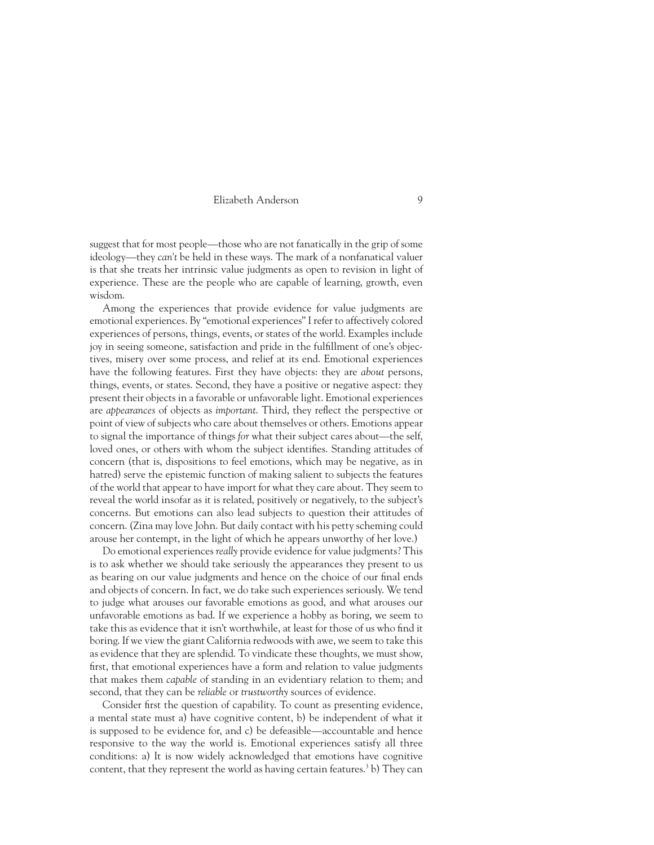suggest that for most people—those who are not fanatically in the grip of some ideology—they *can't* be held in these ways. The mark of a nonfanatical valuer is that she treats her intrinsic value judgments as open to revision in light of experience. These are the people who are capable of learning, growth, even wisdom.

Among the experiences that provide evidence for value judgments are emotional experiences. By "emotional experiences" I refer to affectively colored experiences of persons, things, events, or states of the world. Examples include joy in seeing someone, satisfaction and pride in the fulfillment of one's objectives, misery over some process, and relief at its end. Emotional experiences have the following features. First they have objects: they are *about* persons, things, events, or states. Second, they have a positive or negative aspect: they present their objects in a favorable or unfavorable light. Emotional experiences are *appearances* of objects as *important*. Third, they reflect the perspective or point of view of subjects who care about themselves or others. Emotions appear to signal the importance of things *for* what their subject cares about—the self, loved ones, or others with whom the subject identifies. Standing attitudes of concern (that is, dispositions to feel emotions, which may be negative, as in hatred) serve the epistemic function of making salient to subjects the features of the world that appear to have import for what they care about. They seem to reveal the world insofar as it is related, positively or negatively, to the subject's concerns. But emotions can also lead subjects to question their attitudes of concern. (Zina may love John. But daily contact with his petty scheming could arouse her contempt, in the light of which he appears unworthy of her love.)

Do emotional experiences *really* provide evidence for value judgments? This is to ask whether we should take seriously the appearances they present to us as bearing on our value judgments and hence on the choice of our final ends and objects of concern. In fact, we do take such experiences seriously. We tend to judge what arouses our favorable emotions as good, and what arouses our unfavorable emotions as bad. If we experience a hobby as boring, we seem to take this as evidence that it isn't worthwhile, at least for those of us who find it boring. If we view the giant California redwoods with awe, we seem to take this as evidence that they are splendid. To vindicate these thoughts, we must show, first, that emotional experiences have a form and relation to value judgments that makes them *capable* of standing in an evidentiary relation to them; and second, that they can be *reliable* or *trustworthy* sources of evidence.

Consider first the question of capability. To count as presenting evidence, a mental state must a) have cognitive content, b) be independent of what it is supposed to be evidence for, and c) be defeasible—accountable and hence responsive to the way the world is. Emotional experiences satisfy all three conditions: a) It is now widely acknowledged that emotions have cognitive content, that they represent the world as having certain features.<sup>3</sup> b) They can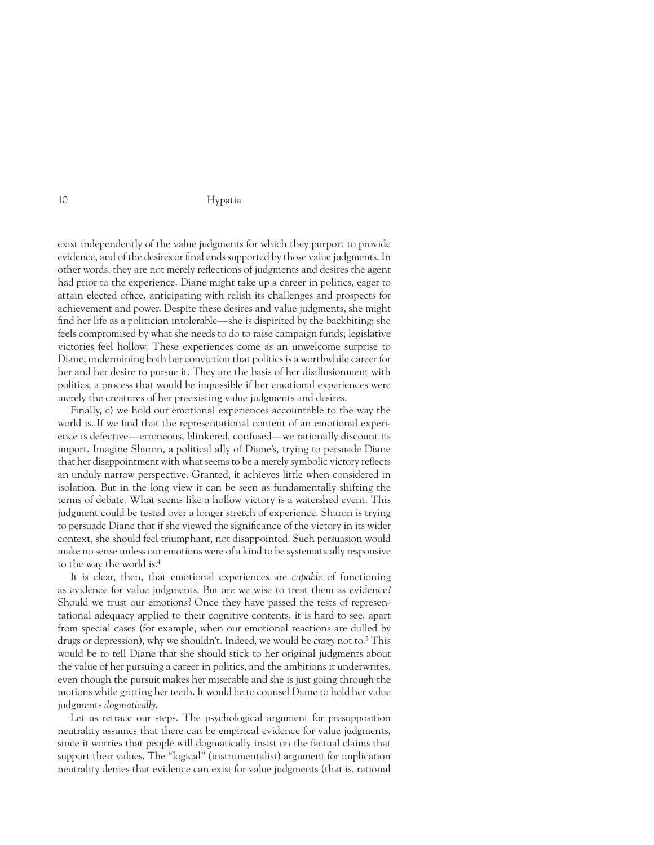exist independently of the value judgments for which they purport to provide evidence, and of the desires or final ends supported by those value judgments. In other words, they are not merely reflections of judgments and desires the agent had prior to the experience. Diane might take up a career in politics, eager to attain elected office, anticipating with relish its challenges and prospects for achievement and power. Despite these desires and value judgments, she might find her life as a politician intolerable—she is dispirited by the backbiting; she feels compromised by what she needs to do to raise campaign funds; legislative victories feel hollow. These experiences come as an unwelcome surprise to Diane, undermining both her conviction that politics is a worthwhile career for her and her desire to pursue it. They are the basis of her disillusionment with politics, a process that would be impossible if her emotional experiences were merely the creatures of her preexisting value judgments and desires.

Finally, c) we hold our emotional experiences accountable to the way the world is. If we find that the representational content of an emotional experience is defective—erroneous, blinkered, confused—we rationally discount its import. Imagine Sharon, a political ally of Diane's, trying to persuade Diane that her disappointment with what seems to be a merely symbolic victory reflects an unduly narrow perspective. Granted, it achieves little when considered in isolation. But in the long view it can be seen as fundamentally shifting the terms of debate. What seems like a hollow victory is a watershed event. This judgment could be tested over a longer stretch of experience. Sharon is trying to persuade Diane that if she viewed the significance of the victory in its wider context, she should feel triumphant, not disappointed. Such persuasion would make no sense unless our emotions were of a kind to be systematically responsive to the way the world is.4

It is clear, then, that emotional experiences are *capable* of functioning as evidence for value judgments. But are we wise to treat them as evidence? Should we trust our emotions? Once they have passed the tests of representational adequacy applied to their cognitive contents, it is hard to see, apart from special cases (for example, when our emotional reactions are dulled by drugs or depression), why we shouldn't. Indeed, we would be *crazy* not to.<sup>5</sup> This would be to tell Diane that she should stick to her original judgments about the value of her pursuing a career in politics, and the ambitions it underwrites, even though the pursuit makes her miserable and she is just going through the motions while gritting her teeth. It would be to counsel Diane to hold her value judgments *dogmatically*.

Let us retrace our steps. The psychological argument for presupposition neutrality assumes that there can be empirical evidence for value judgments, since it worries that people will dogmatically insist on the factual claims that support their values. The "logical" (instrumentalist) argument for implication neutrality denies that evidence can exist for value judgments (that is, rational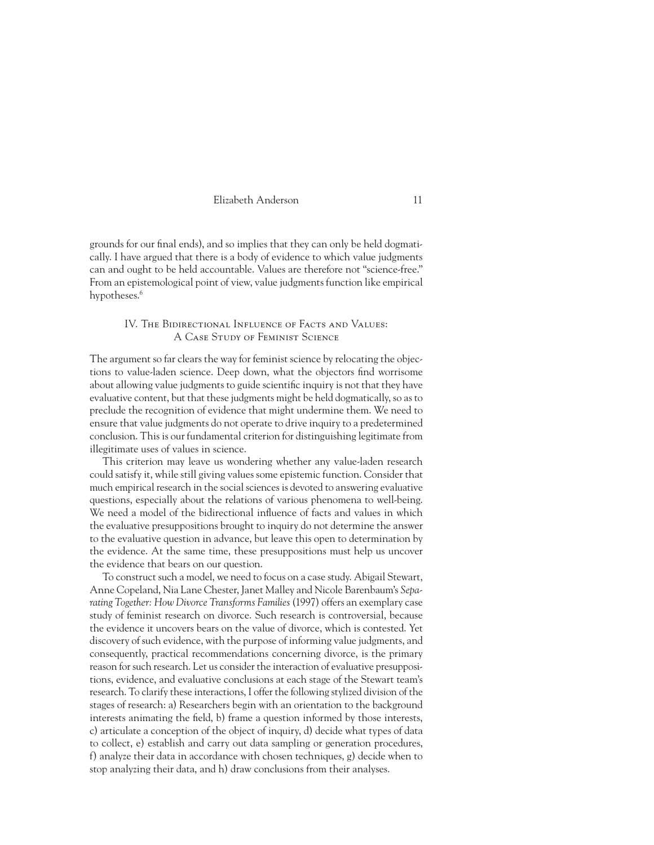grounds for our final ends), and so implies that they can only be held dogmatically. I have argued that there is a body of evidence to which value judgments can and ought to be held accountable. Values are therefore not "science-free." From an epistemological point of view, value judgments function like empirical hypotheses.<sup>6</sup>

# IV. The Bidirectional Influence of Facts and Values: A Case Study of Feminist Science

The argument so far clears the way for feminist science by relocating the objections to value-laden science. Deep down, what the objectors find worrisome about allowing value judgments to guide scientific inquiry is not that they have evaluative content, but that these judgments might be held dogmatically, so as to preclude the recognition of evidence that might undermine them. We need to ensure that value judgments do not operate to drive inquiry to a predetermined conclusion. This is our fundamental criterion for distinguishing legitimate from illegitimate uses of values in science.

This criterion may leave us wondering whether any value-laden research could satisfy it, while still giving values some epistemic function. Consider that much empirical research in the social sciences is devoted to answering evaluative questions, especially about the relations of various phenomena to well-being. We need a model of the bidirectional influence of facts and values in which the evaluative presuppositions brought to inquiry do not determine the answer to the evaluative question in advance, but leave this open to determination by the evidence. At the same time, these presuppositions must help us uncover the evidence that bears on our question.

To construct such a model, we need to focus on a case study. Abigail Stewart, Anne Copeland, Nia Lane Chester, Janet Malley and Nicole Barenbaum's *Separating Together: How Divorce Transforms Families* (1997) offers an exemplary case study of feminist research on divorce. Such research is controversial, because the evidence it uncovers bears on the value of divorce, which is contested. Yet discovery of such evidence, with the purpose of informing value judgments, and consequently, practical recommendations concerning divorce, is the primary reason for such research. Let us consider the interaction of evaluative presuppositions, evidence, and evaluative conclusions at each stage of the Stewart team's research. To clarify these interactions, I offer the following stylized division of the stages of research: a) Researchers begin with an orientation to the background interests animating the field, b) frame a question informed by those interests, c) articulate a conception of the object of inquiry, d) decide what types of data to collect, e) establish and carry out data sampling or generation procedures, f) analyze their data in accordance with chosen techniques, g) decide when to stop analyzing their data, and h) draw conclusions from their analyses.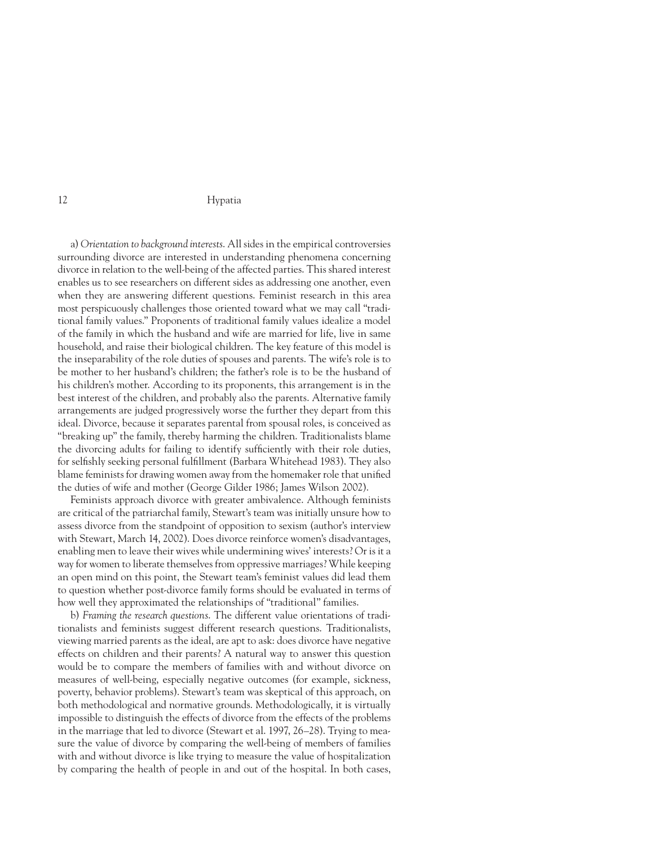a) *Orientation to background interests*. All sides in the empirical controversies surrounding divorce are interested in understanding phenomena concerning divorce in relation to the well-being of the affected parties. This shared interest enables us to see researchers on different sides as addressing one another, even when they are answering different questions. Feminist research in this area most perspicuously challenges those oriented toward what we may call "traditional family values." Proponents of traditional family values idealize a model of the family in which the husband and wife are married for life, live in same household, and raise their biological children. The key feature of this model is the inseparability of the role duties of spouses and parents. The wife's role is to be mother to her husband's children; the father's role is to be the husband of his children's mother. According to its proponents, this arrangement is in the best interest of the children, and probably also the parents. Alternative family arrangements are judged progressively worse the further they depart from this ideal. Divorce, because it separates parental from spousal roles, is conceived as "breaking up" the family, thereby harming the children. Traditionalists blame the divorcing adults for failing to identify sufficiently with their role duties, for selfishly seeking personal fulfillment (Barbara Whitehead 1983). They also blame feminists for drawing women away from the homemaker role that unified the duties of wife and mother (George Gilder 1986; James Wilson 2002).

Feminists approach divorce with greater ambivalence. Although feminists are critical of the patriarchal family, Stewart's team was initially unsure how to assess divorce from the standpoint of opposition to sexism (author's interview with Stewart, March 14, 2002). Does divorce reinforce women's disadvantages, enabling men to leave their wives while undermining wives' interests? Or is it a way for women to liberate themselves from oppressive marriages? While keeping an open mind on this point, the Stewart team's feminist values did lead them to question whether post-divorce family forms should be evaluated in terms of how well they approximated the relationships of "traditional" families.

b) *Framing the research questions*. The different value orientations of traditionalists and feminists suggest different research questions. Traditionalists, viewing married parents as the ideal, are apt to ask: does divorce have negative effects on children and their parents? A natural way to answer this question would be to compare the members of families with and without divorce on measures of well-being, especially negative outcomes (for example, sickness, poverty, behavior problems). Stewart's team was skeptical of this approach, on both methodological and normative grounds. Methodologically, it is virtually impossible to distinguish the effects of divorce from the effects of the problems in the marriage that led to divorce (Stewart et al. 1997, 26–28). Trying to measure the value of divorce by comparing the well-being of members of families with and without divorce is like trying to measure the value of hospitalization by comparing the health of people in and out of the hospital. In both cases,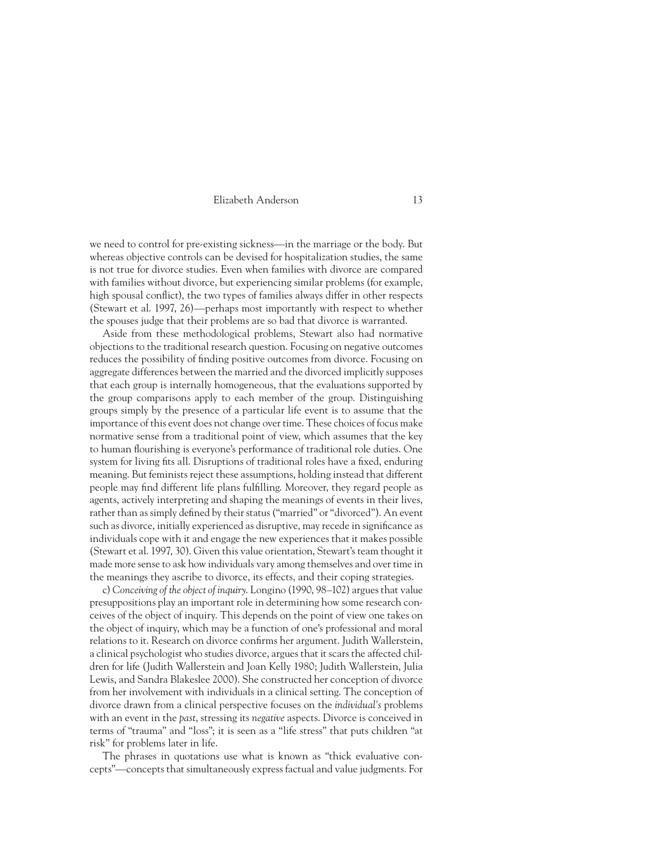# Elizabeth Anderson 13

we need to control for pre-existing sickness—in the marriage or the body. But whereas objective controls can be devised for hospitalization studies, the same is not true for divorce studies. Even when families with divorce are compared with families without divorce, but experiencing similar problems (for example, high spousal conflict), the two types of families always differ in other respects (Stewart et al. 1997, 26)—perhaps most importantly with respect to whether the spouses judge that their problems are so bad that divorce is warranted.

Aside from these methodological problems, Stewart also had normative objections to the traditional research question. Focusing on negative outcomes reduces the possibility of finding positive outcomes from divorce. Focusing on aggregate differences between the married and the divorced implicitly supposes that each group is internally homogeneous, that the evaluations supported by the group comparisons apply to each member of the group. Distinguishing groups simply by the presence of a particular life event is to assume that the importance of this event does not change over time. These choices of focus make normative sense from a traditional point of view, which assumes that the key to human flourishing is everyone's performance of traditional role duties. One system for living fits all. Disruptions of traditional roles have a fixed, enduring meaning. But feminists reject these assumptions, holding instead that different people may find different life plans fulfilling. Moreover, they regard people as agents, actively interpreting and shaping the meanings of events in their lives, rather than as simply defined by their status ("married" or "divorced"). An event such as divorce, initially experienced as disruptive, may recede in significance as individuals cope with it and engage the new experiences that it makes possible (Stewart et al. 1997, 30). Given this value orientation, Stewart's team thought it made more sense to ask how individuals vary among themselves and over time in the meanings they ascribe to divorce, its effects, and their coping strategies.

c) *Conceiving of the object of inquiry*. Longino (1990, 98–102) argues that value presuppositions play an important role in determining how some research conceives of the object of inquiry. This depends on the point of view one takes on the object of inquiry, which may be a function of one's professional and moral relations to it. Research on divorce confirms her argument. Judith Wallerstein, a clinical psychologist who studies divorce, argues that it scars the affected children for life (Judith Wallerstein and Joan Kelly 1980; Judith Wallerstein, Julia Lewis, and Sandra Blakeslee 2000). She constructed her conception of divorce from her involvement with individuals in a clinical setting. The conception of divorce drawn from a clinical perspective focuses on the *individual's* problems with an event in the *past*, stressing its *negative* aspects. Divorce is conceived in terms of "trauma" and "loss"; it is seen as a "life stress" that puts children "at risk" for problems later in life.

The phrases in quotations use what is known as "thick evaluative concepts"—concepts that simultaneously express factual and value judgments. For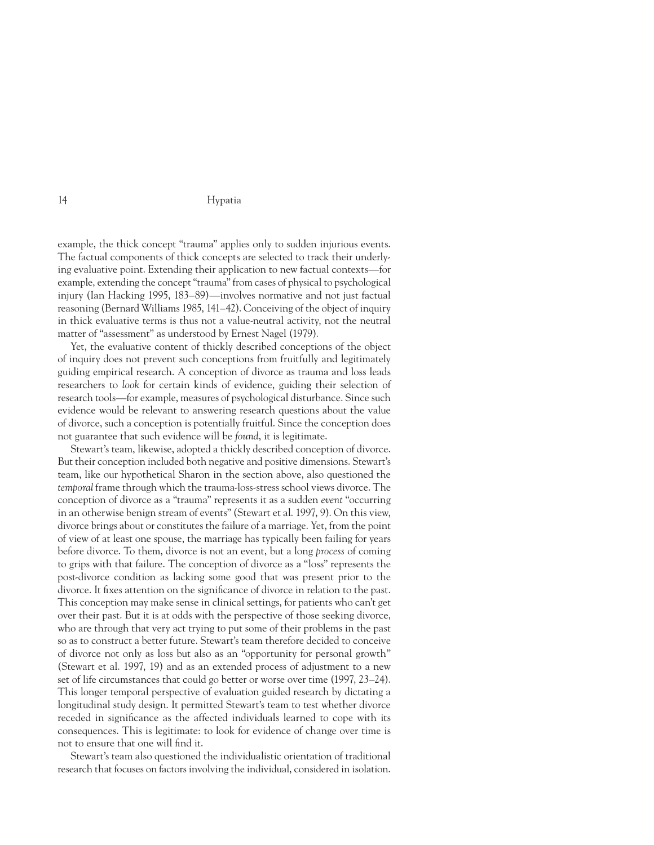example, the thick concept "trauma" applies only to sudden injurious events. The factual components of thick concepts are selected to track their underlying evaluative point. Extending their application to new factual contexts—for example, extending the concept "trauma" from cases of physical to psychological injury (Ian Hacking 1995, 183–89)—involves normative and not just factual reasoning (Bernard Williams 1985, 141–42). Conceiving of the object of inquiry in thick evaluative terms is thus not a value-neutral activity, not the neutral matter of "assessment" as understood by Ernest Nagel (1979).

Yet, the evaluative content of thickly described conceptions of the object of inquiry does not prevent such conceptions from fruitfully and legitimately guiding empirical research. A conception of divorce as trauma and loss leads researchers to *look* for certain kinds of evidence, guiding their selection of research tools—for example, measures of psychological disturbance. Since such evidence would be relevant to answering research questions about the value of divorce, such a conception is potentially fruitful. Since the conception does not guarantee that such evidence will be *found*, it is legitimate.

Stewart's team, likewise, adopted a thickly described conception of divorce. But their conception included both negative and positive dimensions. Stewart's team, like our hypothetical Sharon in the section above, also questioned the *temporal* frame through which the trauma-loss-stress school views divorce. The conception of divorce as a "trauma" represents it as a sudden *event* "occurring in an otherwise benign stream of events" (Stewart et al. 1997, 9). On this view, divorce brings about or constitutes the failure of a marriage. Yet, from the point of view of at least one spouse, the marriage has typically been failing for years before divorce. To them, divorce is not an event, but a long *process* of coming to grips with that failure. The conception of divorce as a "loss" represents the post-divorce condition as lacking some good that was present prior to the divorce. It fixes attention on the significance of divorce in relation to the past. This conception may make sense in clinical settings, for patients who can't get over their past. But it is at odds with the perspective of those seeking divorce, who are through that very act trying to put some of their problems in the past so as to construct a better future. Stewart's team therefore decided to conceive of divorce not only as loss but also as an "opportunity for personal growth" (Stewart et al. 1997, 19) and as an extended process of adjustment to a new set of life circumstances that could go better or worse over time (1997, 23–24). This longer temporal perspective of evaluation guided research by dictating a longitudinal study design. It permitted Stewart's team to test whether divorce receded in significance as the affected individuals learned to cope with its consequences. This is legitimate: to look for evidence of change over time is not to ensure that one will find it.

Stewart's team also questioned the individualistic orientation of traditional research that focuses on factors involving the individual, considered in isolation.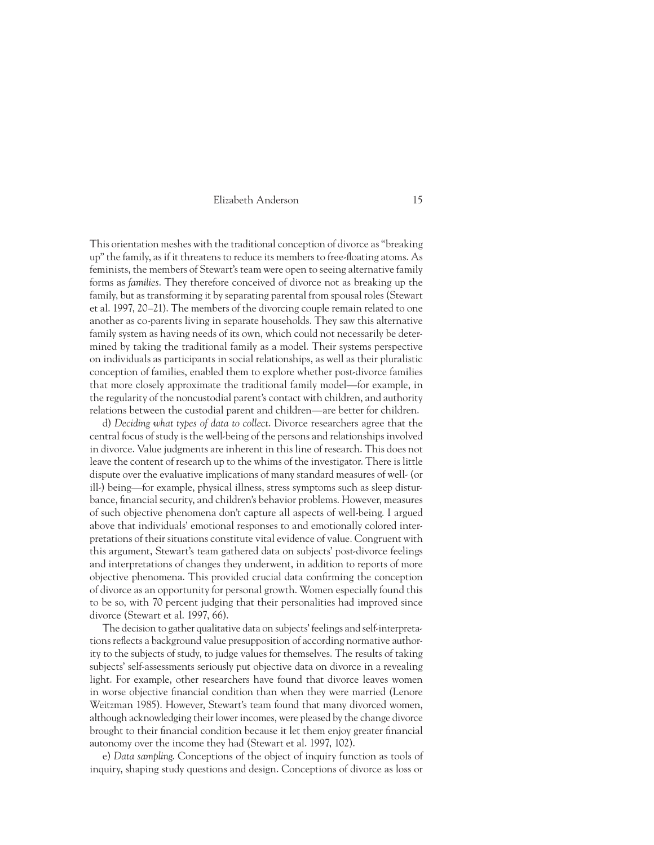This orientation meshes with the traditional conception of divorce as "breaking up" the family, as if it threatens to reduce its members to free-floating atoms. As feminists, the members of Stewart's team were open to seeing alternative family forms as *families*. They therefore conceived of divorce not as breaking up the family, but as transforming it by separating parental from spousal roles (Stewart et al. 1997, 20–21). The members of the divorcing couple remain related to one another as co-parents living in separate households. They saw this alternative family system as having needs of its own, which could not necessarily be determined by taking the traditional family as a model. Their systems perspective on individuals as participants in social relationships, as well as their pluralistic conception of families, enabled them to explore whether post-divorce families that more closely approximate the traditional family model—for example, in the regularity of the noncustodial parent's contact with children, and authority relations between the custodial parent and children—are better for children.

d) *Deciding what types of data to collect*. Divorce researchers agree that the central focus of study is the well-being of the persons and relationships involved in divorce. Value judgments are inherent in this line of research. This does not leave the content of research up to the whims of the investigator. There is little dispute over the evaluative implications of many standard measures of well- (or ill-) being—for example, physical illness, stress symptoms such as sleep disturbance, financial security, and children's behavior problems. However, measures of such objective phenomena don't capture all aspects of well-being. I argued above that individuals' emotional responses to and emotionally colored interpretations of their situations constitute vital evidence of value. Congruent with this argument, Stewart's team gathered data on subjects' post-divorce feelings and interpretations of changes they underwent, in addition to reports of more objective phenomena. This provided crucial data confirming the conception of divorce as an opportunity for personal growth. Women especially found this to be so, with 70 percent judging that their personalities had improved since divorce (Stewart et al. 1997, 66).

The decision to gather qualitative data on subjects' feelings and self-interpretations reflects a background value presupposition of according normative authority to the subjects of study, to judge values for themselves. The results of taking subjects' self-assessments seriously put objective data on divorce in a revealing light. For example, other researchers have found that divorce leaves women in worse objective financial condition than when they were married (Lenore Weitzman 1985). However, Stewart's team found that many divorced women, although acknowledging their lower incomes, were pleased by the change divorce brought to their financial condition because it let them enjoy greater financial autonomy over the income they had (Stewart et al. 1997, 102).

e) *Data sampling*. Conceptions of the object of inquiry function as tools of inquiry, shaping study questions and design. Conceptions of divorce as loss or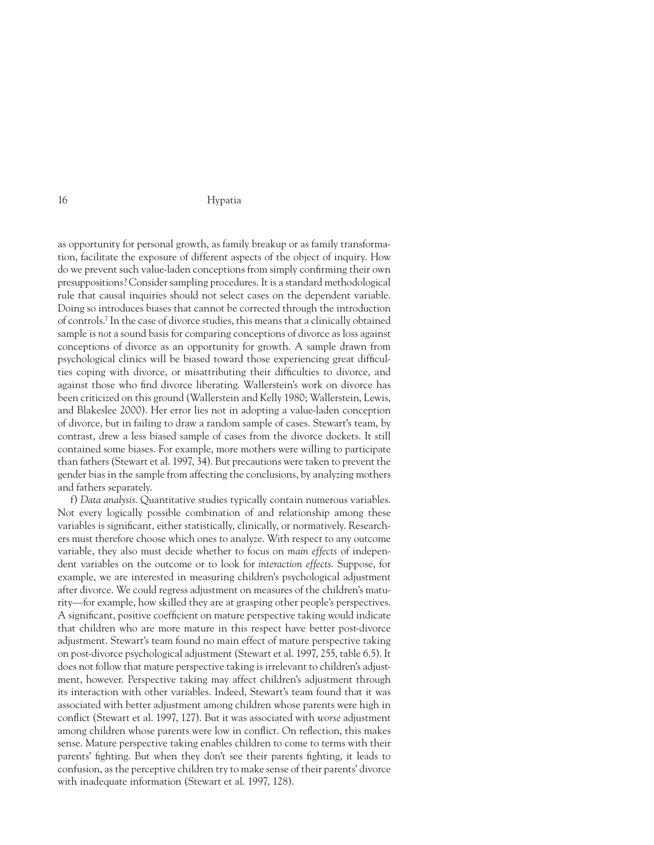as opportunity for personal growth, as family breakup or as family transformation, facilitate the exposure of different aspects of the object of inquiry. How do we prevent such value-laden conceptions from simply confirming their own presuppositions? Consider sampling procedures. It is a standard methodological rule that causal inquiries should not select cases on the dependent variable. Doing so introduces biases that cannot be corrected through the introduction of controls.7 In the case of divorce studies, this means that a clinically obtained sample is *not* a sound basis for comparing conceptions of divorce as loss against conceptions of divorce as an opportunity for growth. A sample drawn from psychological clinics will be biased toward those experiencing great difficulties coping with divorce, or misattributing their difficulties to divorce, and against those who find divorce liberating. Wallerstein's work on divorce has been criticized on this ground (Wallerstein and Kelly 1980; Wallerstein, Lewis, and Blakeslee 2000). Her error lies not in adopting a value-laden conception of divorce, but in failing to draw a random sample of cases. Stewart's team, by contrast, drew a less biased sample of cases from the divorce dockets. It still contained some biases. For example, more mothers were willing to participate than fathers (Stewart et al. 1997, 34). But precautions were taken to prevent the gender bias in the sample from affecting the conclusions, by analyzing mothers and fathers separately.

f) *Data analysis*. Quantitative studies typically contain numerous variables. Not every logically possible combination of and relationship among these variables is significant, either statistically, clinically, or normatively. Researchers must therefore choose which ones to analyze. With respect to any outcome variable, they also must decide whether to focus on *main effects* of independent variables on the outcome or to look for *interaction effects*. Suppose, for example, we are interested in measuring children's psychological adjustment after divorce. We could regress adjustment on measures of the children's maturity—for example, how skilled they are at grasping other people's perspectives. A significant, positive coefficient on mature perspective taking would indicate that children who are more mature in this respect have better post-divorce adjustment. Stewart's team found no main effect of mature perspective taking on post-divorce psychological adjustment (Stewart et al. 1997, 255, table 6.5). It does not follow that mature perspective taking is irrelevant to children's adjustment, however. Perspective taking may affect children's adjustment through its interaction with other variables. Indeed, Stewart's team found that it was associated with better adjustment among children whose parents were high in confl ict (Stewart et al. 1997, 127). But it was associated with *worse* adjustment among children whose parents were low in conflict. On reflection, this makes sense. Mature perspective taking enables children to come to terms with their parents' fighting. But when they don't see their parents fighting, it leads to confusion, as the perceptive children try to make sense of their parents' divorce with inadequate information (Stewart et al. 1997, 128).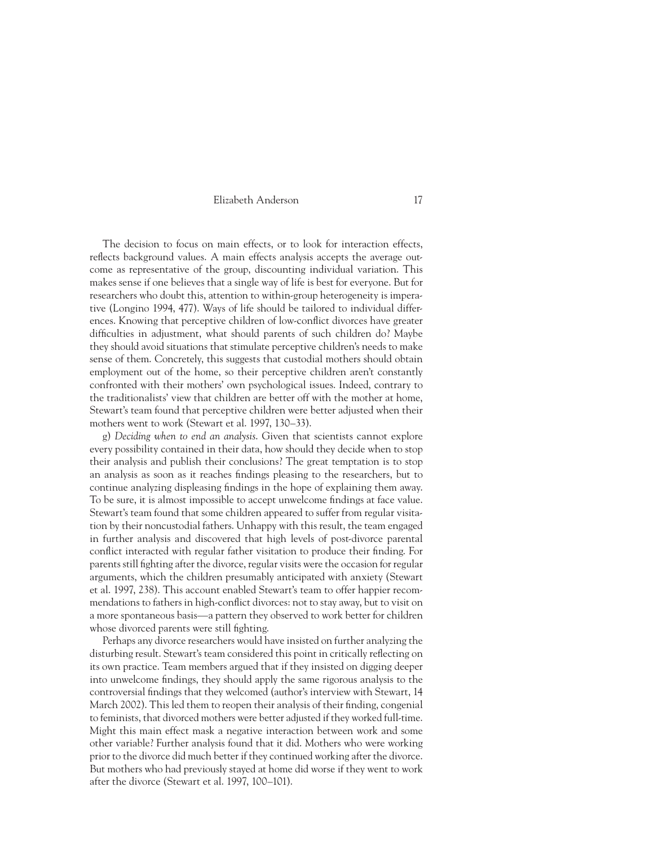# Elizabeth Anderson 17

The decision to focus on main effects, or to look for interaction effects, reflects background values. A main effects analysis accepts the average outcome as representative of the group, discounting individual variation. This makes sense if one believes that a single way of life is best for everyone. But for researchers who doubt this, attention to within-group heterogeneity is imperative (Longino 1994, 477). Ways of life should be tailored to individual differences. Knowing that perceptive children of low-conflict divorces have greater difficulties in adjustment, what should parents of such children do? Maybe they should avoid situations that stimulate perceptive children's needs to make sense of them. Concretely, this suggests that custodial mothers should obtain employment out of the home, so their perceptive children aren't constantly confronted with their mothers' own psychological issues. Indeed, contrary to the traditionalists' view that children are better off with the mother at home, Stewart's team found that perceptive children were better adjusted when their mothers went to work (Stewart et al. 1997, 130–33).

g) *Deciding when to end an analysis*. Given that scientists cannot explore every possibility contained in their data, how should they decide when to stop their analysis and publish their conclusions? The great temptation is to stop an analysis as soon as it reaches findings pleasing to the researchers, but to continue analyzing displeasing findings in the hope of explaining them away. To be sure, it is almost impossible to accept unwelcome findings at face value. Stewart's team found that some children appeared to suffer from regular visitation by their noncustodial fathers. Unhappy with this result, the team engaged in further analysis and discovered that high levels of post-divorce parental conflict interacted with regular father visitation to produce their finding. For parents still fighting after the divorce, regular visits were the occasion for regular arguments, which the children presumably anticipated with anxiety (Stewart et al. 1997, 238). This account enabled Stewart's team to offer happier recommendations to fathers in high-conflict divorces: not to stay away, but to visit on a more spontaneous basis—a pattern they observed to work better for children whose divorced parents were still fighting.

Perhaps any divorce researchers would have insisted on further analyzing the disturbing result. Stewart's team considered this point in critically reflecting on its own practice. Team members argued that if they insisted on digging deeper into unwelcome findings, they should apply the same rigorous analysis to the controversial findings that they welcomed (author's interview with Stewart, 14 March 2002). This led them to reopen their analysis of their finding, congenial to feminists, that divorced mothers were better adjusted if they worked full-time. Might this main effect mask a negative interaction between work and some other variable? Further analysis found that it did. Mothers who were working prior to the divorce did much better if they continued working after the divorce. But mothers who had previously stayed at home did worse if they went to work after the divorce (Stewart et al. 1997, 100–101).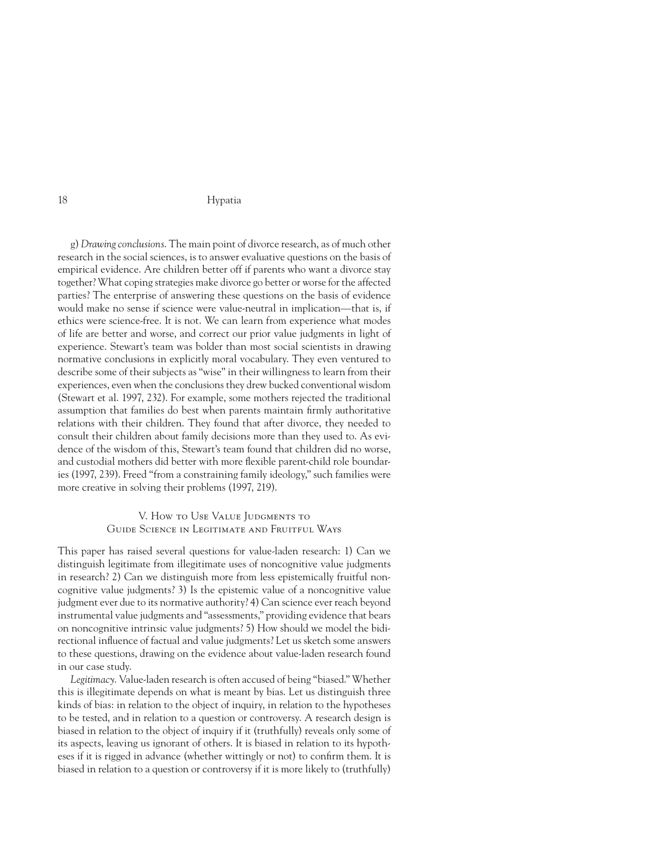g) *Drawing conclusions*. The main point of divorce research, as of much other research in the social sciences, is to answer evaluative questions on the basis of empirical evidence. Are children better off if parents who want a divorce stay together? What coping strategies make divorce go better or worse for the affected parties? The enterprise of answering these questions on the basis of evidence would make no sense if science were value-neutral in implication—that is, if ethics were science-free. It is not. We can learn from experience what modes of life are better and worse, and correct our prior value judgments in light of experience. Stewart's team was bolder than most social scientists in drawing normative conclusions in explicitly moral vocabulary. They even ventured to describe some of their subjects as "wise" in their willingness to learn from their experiences, even when the conclusions they drew bucked conventional wisdom (Stewart et al. 1997, 232). For example, some mothers rejected the traditional assumption that families do best when parents maintain firmly authoritative relations with their children. They found that after divorce, they needed to consult their children about family decisions more than they used to. As evidence of the wisdom of this, Stewart's team found that children did no worse, and custodial mothers did better with more flexible parent-child role boundaries (1997, 239). Freed "from a constraining family ideology," such families were more creative in solving their problems (1997, 219).

# V. How to Use Value Judgments to Guide Science in Legitimate and Fruitful Ways

This paper has raised several questions for value-laden research: 1) Can we distinguish legitimate from illegitimate uses of noncognitive value judgments in research? 2) Can we distinguish more from less epistemically fruitful noncognitive value judgments? 3) Is the epistemic value of a noncognitive value judgment ever due to its normative authority? 4) Can science ever reach beyond instrumental value judgments and "assessments," providing evidence that bears on noncognitive intrinsic value judgments? 5) How should we model the bidirectional influence of factual and value judgments? Let us sketch some answers to these questions, drawing on the evidence about value-laden research found in our case study.

*Legitimacy*. Value-laden research is often accused of being "biased." Whether this is illegitimate depends on what is meant by bias. Let us distinguish three kinds of bias: in relation to the object of inquiry, in relation to the hypotheses to be tested, and in relation to a question or controversy. A research design is biased in relation to the object of inquiry if it (truthfully) reveals only some of its aspects, leaving us ignorant of others. It is biased in relation to its hypotheses if it is rigged in advance (whether wittingly or not) to confirm them. It is biased in relation to a question or controversy if it is more likely to (truthfully)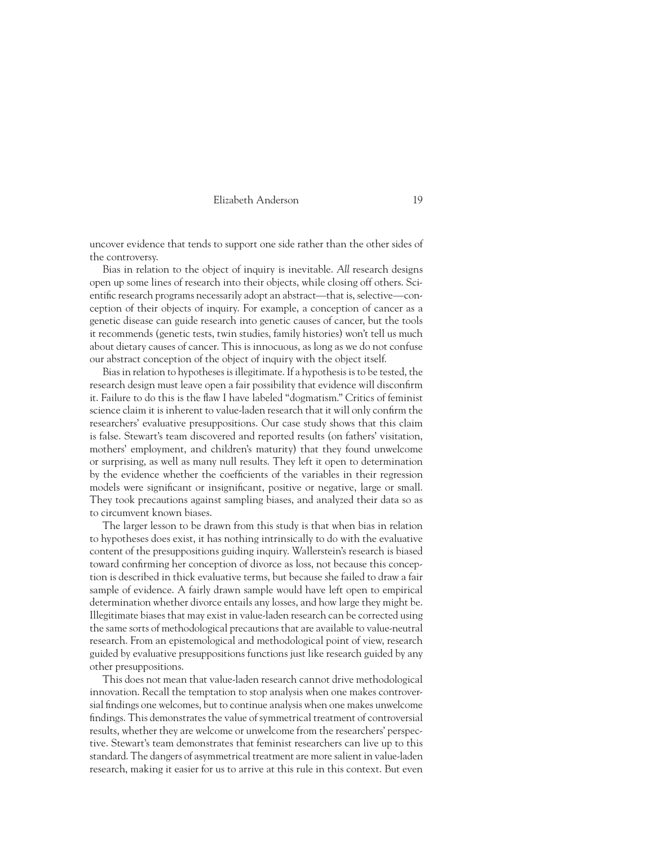uncover evidence that tends to support one side rather than the other sides of the controversy.

Bias in relation to the object of inquiry is inevitable. *All* research designs open up some lines of research into their objects, while closing off others. Scientific research programs necessarily adopt an abstract—that is, selective—conception of their objects of inquiry. For example, a conception of cancer as a genetic disease can guide research into genetic causes of cancer, but the tools it recommends (genetic tests, twin studies, family histories) won't tell us much about dietary causes of cancer. This is innocuous, as long as we do not confuse our abstract conception of the object of inquiry with the object itself.

Bias in relation to hypotheses is illegitimate. If a hypothesis is to be tested, the research design must leave open a fair possibility that evidence will disconfirm it. Failure to do this is the flaw I have labeled "dogmatism." Critics of feminist science claim it is inherent to value-laden research that it will only confirm the researchers' evaluative presuppositions. Our case study shows that this claim is false. Stewart's team discovered and reported results (on fathers' visitation, mothers' employment, and children's maturity) that they found unwelcome or surprising, as well as many null results. They left it open to determination by the evidence whether the coefficients of the variables in their regression models were significant or insignificant, positive or negative, large or small. They took precautions against sampling biases, and analyzed their data so as to circumvent known biases.

The larger lesson to be drawn from this study is that when bias in relation to hypotheses does exist, it has nothing intrinsically to do with the evaluative content of the presuppositions guiding inquiry. Wallerstein's research is biased toward confirming her conception of divorce as loss, not because this conception is described in thick evaluative terms, but because she failed to draw a fair sample of evidence. A fairly drawn sample would have left open to empirical determination whether divorce entails any losses, and how large they might be. Illegitimate biases that may exist in value-laden research can be corrected using the same sorts of methodological precautions that are available to value-neutral research. From an epistemological and methodological point of view, research guided by evaluative presuppositions functions just like research guided by any other presuppositions.

This does not mean that value-laden research cannot drive methodological innovation. Recall the temptation to stop analysis when one makes controversial findings one welcomes, but to continue analysis when one makes unwelcome findings. This demonstrates the value of symmetrical treatment of controversial results, whether they are welcome or unwelcome from the researchers' perspective. Stewart's team demonstrates that feminist researchers can live up to this standard. The dangers of asymmetrical treatment are more salient in value-laden research, making it easier for us to arrive at this rule in this context. But even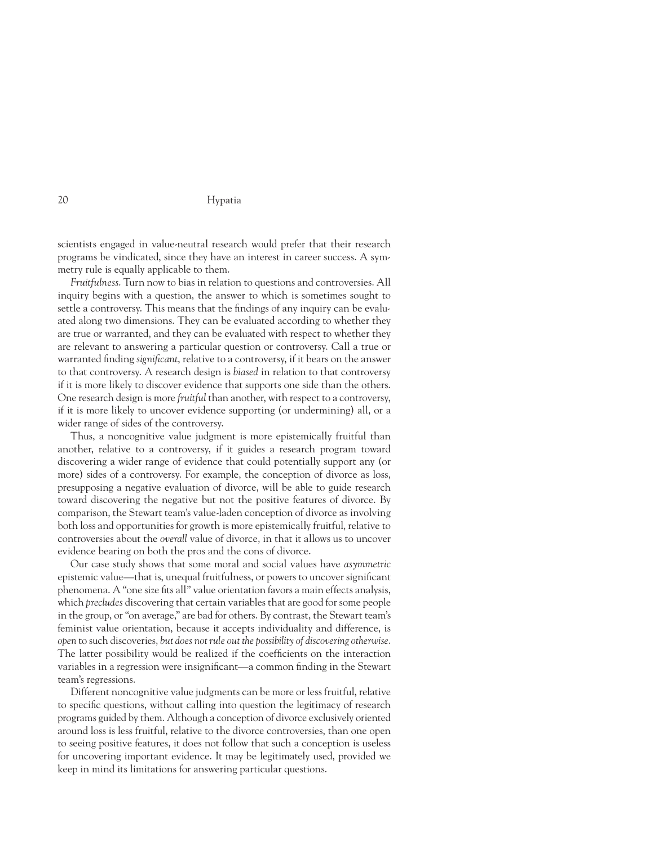scientists engaged in value-neutral research would prefer that their research programs be vindicated, since they have an interest in career success. A symmetry rule is equally applicable to them.

*Fruitfulness*. Turn now to bias in relation to questions and controversies. All inquiry begins with a question, the answer to which is sometimes sought to settle a controversy. This means that the findings of any inquiry can be evaluated along two dimensions. They can be evaluated according to whether they are true or warranted, and they can be evaluated with respect to whether they are relevant to answering a particular question or controversy. Call a true or warranted finding *significant*, relative to a controversy, if it bears on the answer to that controversy. A research design is *biased* in relation to that controversy if it is more likely to discover evidence that supports one side than the others. One research design is more *fruitful* than another, with respect to a controversy, if it is more likely to uncover evidence supporting (or undermining) all, or a wider range of sides of the controversy.

Thus, a noncognitive value judgment is more epistemically fruitful than another, relative to a controversy, if it guides a research program toward discovering a wider range of evidence that could potentially support any (or more) sides of a controversy. For example, the conception of divorce as loss, presupposing a negative evaluation of divorce, will be able to guide research toward discovering the negative but not the positive features of divorce. By comparison, the Stewart team's value-laden conception of divorce as involving both loss and opportunities for growth is more epistemically fruitful, relative to controversies about the *overall* value of divorce, in that it allows us to uncover evidence bearing on both the pros and the cons of divorce.

Our case study shows that some moral and social values have *asymmetric* epistemic value—that is, unequal fruitfulness, or powers to uncover significant phenomena. A "one size fits all" value orientation favors a main effects analysis, which *precludes* discovering that certain variables that are good for some people in the group, or "on average," are bad for others. By contrast, the Stewart team's feminist value orientation, because it accepts individuality and difference, is *open* to such discoveries, *but does not rule out the possibility of discovering otherwise*. The latter possibility would be realized if the coefficients on the interaction variables in a regression were insignificant—a common finding in the Stewart team's regressions.

Different noncognitive value judgments can be more or less fruitful, relative to specific questions, without calling into question the legitimacy of research programs guided by them. Although a conception of divorce exclusively oriented around loss is less fruitful, relative to the divorce controversies, than one open to seeing positive features, it does not follow that such a conception is useless for uncovering important evidence. It may be legitimately used, provided we keep in mind its limitations for answering particular questions.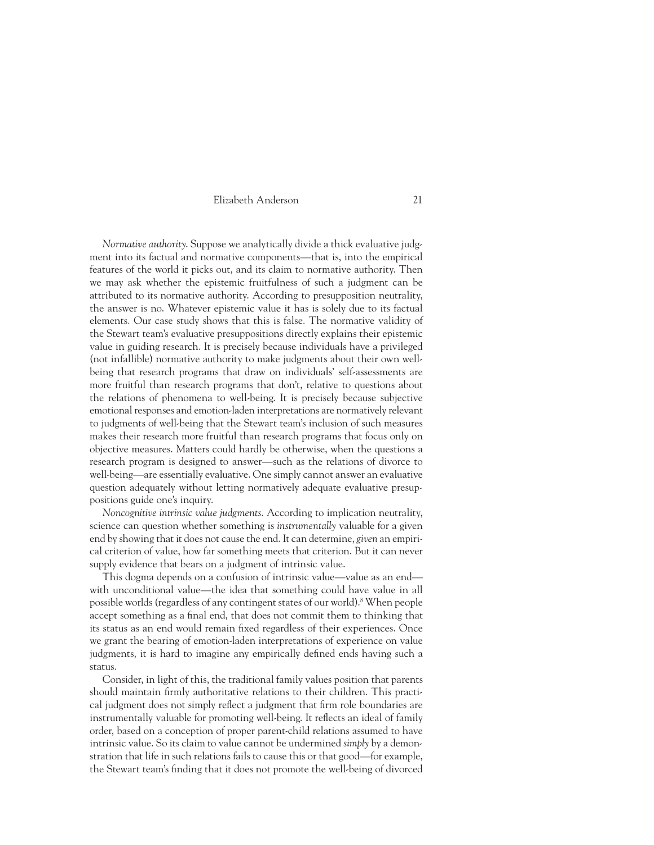# Elizabeth Anderson 21

*Normative authority*. Suppose we analytically divide a thick evaluative judgment into its factual and normative components—that is, into the empirical features of the world it picks out, and its claim to normative authority. Then we may ask whether the epistemic fruitfulness of such a judgment can be attributed to its normative authority. According to presupposition neutrality, the answer is no. Whatever epistemic value it has is solely due to its factual elements. Our case study shows that this is false. The normative validity of the Stewart team's evaluative presuppositions directly explains their epistemic value in guiding research. It is precisely because individuals have a privileged (not infallible) normative authority to make judgments about their own wellbeing that research programs that draw on individuals' self-assessments are more fruitful than research programs that don't, relative to questions about the relations of phenomena to well-being. It is precisely because subjective emotional responses and emotion-laden interpretations are normatively relevant to judgments of well-being that the Stewart team's inclusion of such measures makes their research more fruitful than research programs that focus only on objective measures. Matters could hardly be otherwise, when the questions a research program is designed to answer—such as the relations of divorce to well-being—are essentially evaluative. One simply cannot answer an evaluative question adequately without letting normatively adequate evaluative presuppositions guide one's inquiry.

*Noncognitive intrinsic value judgments*. According to implication neutrality, science can question whether something is *instrumentally* valuable for a given end by showing that it does not cause the end. It can determine, *given* an empirical criterion of value, how far something meets that criterion. But it can never supply evidence that bears on a judgment of intrinsic value.

This dogma depends on a confusion of intrinsic value—value as an end with unconditional value—the idea that something could have value in all possible worlds (regardless of any contingent states of our world).8 When people accept something as a final end, that does not commit them to thinking that its status as an end would remain fixed regardless of their experiences. Once we grant the bearing of emotion-laden interpretations of experience on value judgments, it is hard to imagine any empirically defined ends having such a status.

Consider, in light of this, the traditional family values position that parents should maintain firmly authoritative relations to their children. This practical judgment does not simply reflect a judgment that firm role boundaries are instrumentally valuable for promoting well-being. It reflects an ideal of family order, based on a conception of proper parent-child relations assumed to have intrinsic value. So its claim to value cannot be undermined *simply* by a demonstration that life in such relations fails to cause this or that good—for example, the Stewart team's finding that it does not promote the well-being of divorced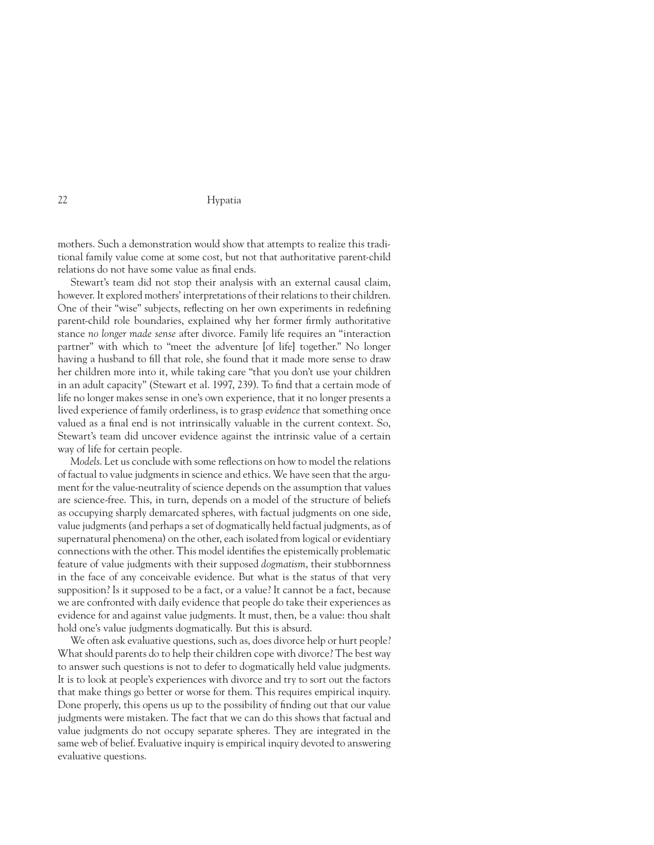mothers. Such a demonstration would show that attempts to realize this traditional family value come at some cost, but not that authoritative parent-child relations do not have some value as final ends.

Stewart's team did not stop their analysis with an external causal claim, however. It explored mothers' interpretations of their relations to their children. One of their "wise" subjects, reflecting on her own experiments in redefining parent-child role boundaries, explained why her former firmly authoritative stance *no longer made sense* after divorce. Family life requires an "interaction partner" with which to "meet the adventure [of life] together." No longer having a husband to fill that role, she found that it made more sense to draw her children more into it, while taking care "that you don't use your children in an adult capacity" (Stewart et al. 1997, 239). To find that a certain mode of life no longer makes sense in one's own experience, that it no longer presents a lived experience of family orderliness, is to grasp *evidence* that something once valued as a final end is not intrinsically valuable in the current context. So, Stewart's team did uncover evidence against the intrinsic value of a certain way of life for certain people.

*Models*. Let us conclude with some reflections on how to model the relations of factual to value judgments in science and ethics. We have seen that the argument for the value-neutrality of science depends on the assumption that values are science-free. This, in turn, depends on a model of the structure of beliefs as occupying sharply demarcated spheres, with factual judgments on one side, value judgments (and perhaps a set of dogmatically held factual judgments, as of supernatural phenomena) on the other, each isolated from logical or evidentiary connections with the other. This model identifies the epistemically problematic feature of value judgments with their supposed *dogmatism*, their stubbornness in the face of any conceivable evidence. But what is the status of that very supposition? Is it supposed to be a fact, or a value? It cannot be a fact, because we are confronted with daily evidence that people do take their experiences as evidence for and against value judgments. It must, then, be a value: thou shalt hold one's value judgments dogmatically. But this is absurd.

We often ask evaluative questions, such as, does divorce help or hurt people? What should parents do to help their children cope with divorce? The best way to answer such questions is not to defer to dogmatically held value judgments. It is to look at people's experiences with divorce and try to sort out the factors that make things go better or worse for them. This requires empirical inquiry. Done properly, this opens us up to the possibility of finding out that our value judgments were mistaken. The fact that we can do this shows that factual and value judgments do not occupy separate spheres. They are integrated in the same web of belief. Evaluative inquiry is empirical inquiry devoted to answering evaluative questions.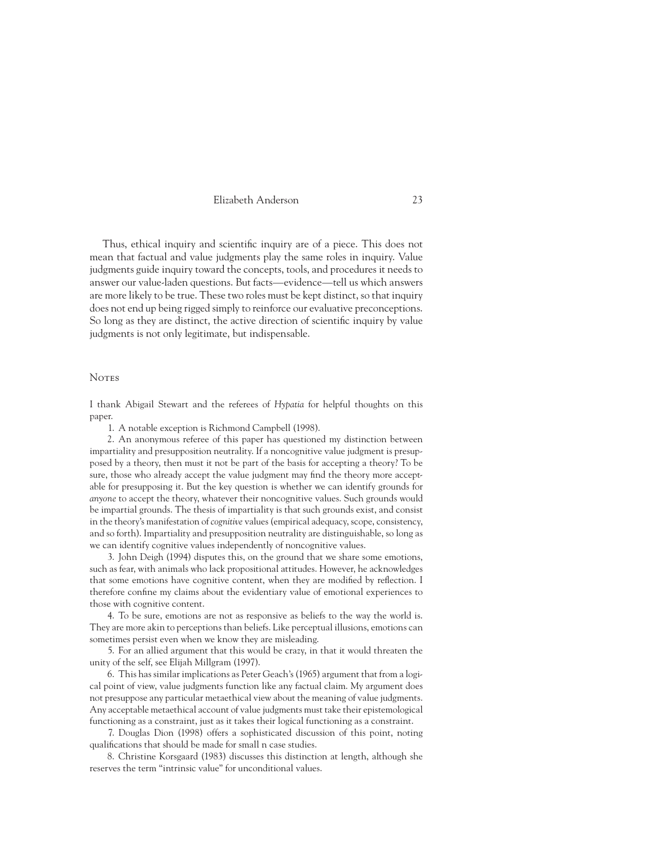## Elizabeth Anderson 23

Thus, ethical inquiry and scientific inquiry are of a piece. This does not mean that factual and value judgments play the same roles in inquiry. Value judgments guide inquiry toward the concepts, tools, and procedures it needs to answer our value-laden questions. But facts—evidence—tell us which answers are more likely to be true. These two roles must be kept distinct, so that inquiry does not end up being rigged simply to reinforce our evaluative preconceptions. So long as they are distinct, the active direction of scientific inquiry by value judgments is not only legitimate, but indispensable.

#### **NOTES**

I thank Abigail Stewart and the referees of *Hypatia* for helpful thoughts on this paper.

1. A notable exception is Richmond Campbell (1998).

 2. An anonymous referee of this paper has questioned my distinction between impartiality and presupposition neutrality. If a noncognitive value judgment is presupposed by a theory, then must it not be part of the basis for accepting a theory? To be sure, those who already accept the value judgment may find the theory more acceptable for presupposing it. But the key question is whether we can identify grounds for *anyone* to accept the theory, whatever their noncognitive values. Such grounds would be impartial grounds. The thesis of impartiality is that such grounds exist, and consist in the theory's manifestation of *cognitive* values (empirical adequacy, scope, consistency, and so forth). Impartiality and presupposition neutrality are distinguishable, so long as we can identify cognitive values independently of noncognitive values.

 3. John Deigh (1994) disputes this, on the ground that we share some emotions, such as fear, with animals who lack propositional attitudes. However, he acknowledges that some emotions have cognitive content, when they are modified by reflection. I therefore confine my claims about the evidentiary value of emotional experiences to those with cognitive content.

 4. To be sure, emotions are not as responsive as beliefs to the way the world is. They are more akin to perceptions than beliefs. Like perceptual illusions, emotions can sometimes persist even when we know they are misleading.

 5. For an allied argument that this would be crazy, in that it would threaten the unity of the self, see Elijah Millgram (1997).

 6. This has similar implications as Peter Geach's (1965) argument that from a logical point of view, value judgments function like any factual claim. My argument does not presuppose any particular metaethical view about the meaning of value judgments. Any acceptable metaethical account of value judgments must take their epistemological functioning as a constraint, just as it takes their logical functioning as a constraint.

 7. Douglas Dion (1998) offers a sophisticated discussion of this point, noting qualifications that should be made for small n case studies.

 8. Christine Korsgaard (1983) discusses this distinction at length, although she reserves the term "intrinsic value" for unconditional values.